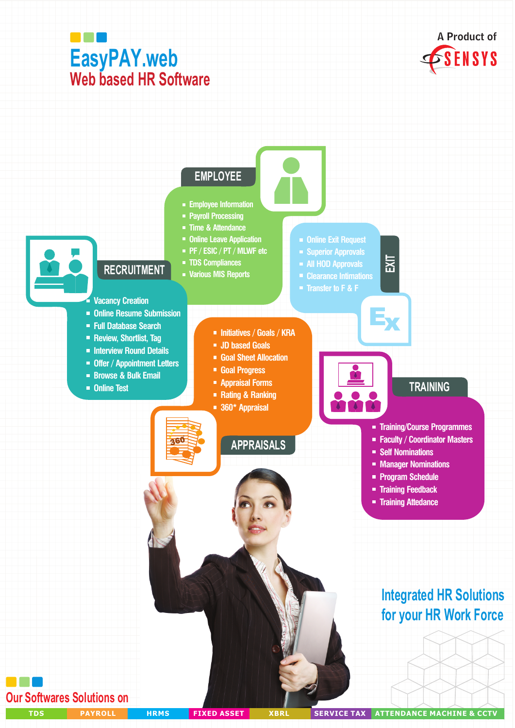

**Our Softwares Solutions on** 

**ATTENDANCE MACHINE & CCTV TDS PAYROLL HRMS FIXED ASSET XBRL SERVICE TAX**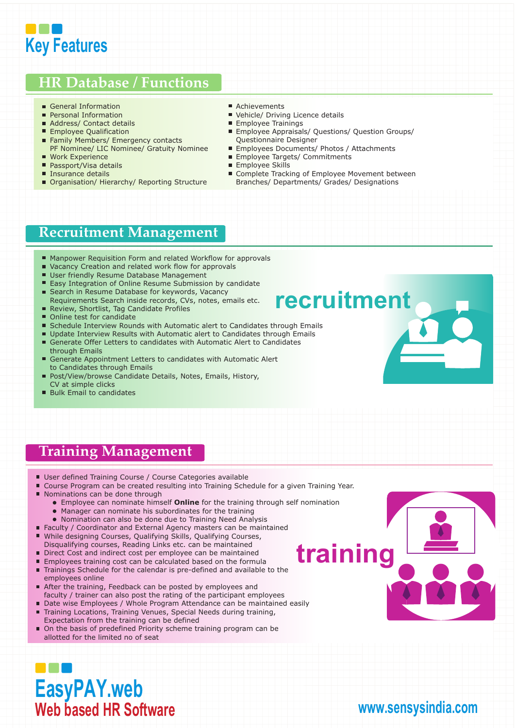

#### **HR Database / Functions**

- General Information
- **Personal Information**
- Address/ Contact details
- **Employee Qualification**
- Family Members/ Emergency contacts PF Nominee/ LIC Nominee/ Gratuity Nominee
- Work Experience
- Passport/Visa details
- Insurance details
- Organisation/ Hierarchy/ Reporting Structure
- Achievements
- Vehicle/ Driving Licence details
- **Employee Trainings**
- **Employee Appraisals/ Questions/ Question Groups/** Questionnaire Designer
- **Employees Documents/ Photos / Attachments**
- **Employee Targets/ Commitments**
- **Employee Skills**
- Complete Tracking of Employee Movement between Branches/ Departments/ Grades/ Designations

#### **Recruitment Management**

- Manpower Requisition Form and related Workflow for approvals
- Vacancy Creation and related work flow for approvals
- User friendly Resume Database Management
- Easy Integration of Online Resume Submission by candidate
- Search in Resume Database for keywords, Vacancy Requirements Search inside records, CVs, notes, emails etc.
- Review, Shortlist, Tag Candidate Profiles
- Online test for candidate
- Schedule Interview Rounds with Automatic alert to Candidates through Emails
- Update Interview Results with Automatic alert to Candidates through Emails
- Generate Offer Letters to candidates with Automatic Alert to Candidates through Emails
- Generate Appointment Letters to candidates with Automatic Alert to Candidates through Emails
- Post/View/browse Candidate Details, Notes, Emails, History, CV at simple clicks
- Bulk Email to candidates

#### **Training Management**

- User defined Training Course / Course Categories available
- Course Program can be created resulting into Training Schedule for a given Training Year.
- Nominations can be done through
	- Employee can nominate himself **Online** for the training through self nomination
	- Manager can nominate his subordinates for the training
	- Nomination can also be done due to Training Need Analysis
- Faculty / Coordinator and External Agency masters can be maintained
- While designing Courses, Qualifying Skills, Qualifying Courses, Disqualifying courses, Reading Links etc. can be maintained
- Direct Cost and indirect cost per employee can be maintained
- **Employees training cost can be calculated based on the formula**
- Trainings Schedule for the calendar is pre-defined and available to the employees online
- After the training, Feedback can be posted by employees and faculty / trainer can also post the rating of the participant employees
- Date wise Employees / Whole Program Attendance can be maintained easily  $\blacksquare$ Training Locations, Training Venues, Special Needs during training,
- Expectation from the training can be defined
- On the basis of predefined Priority scheme training program can be allotted for the limited no of seat

## **training**

#### **EasyPAY.web Web based HR Software**

#### **www.sensysindia.com**

**recruitment**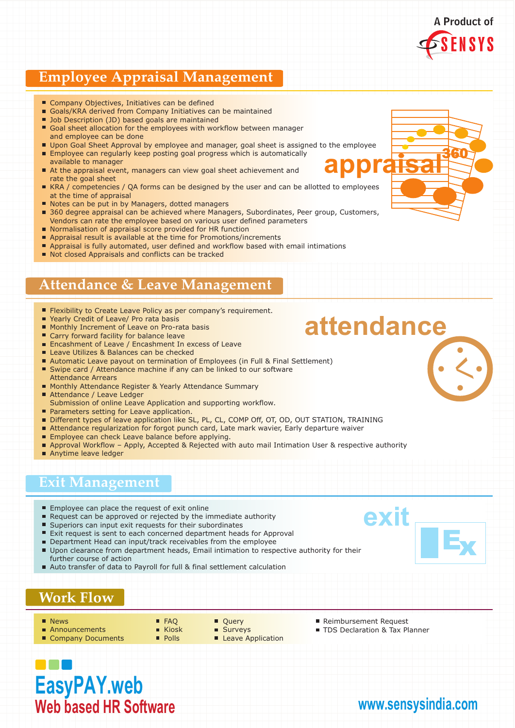#### **Employee Appraisal Management**

- Company Objectives, Initiatives can be defined
- Goals/KRA derived from Company Initiatives can be maintained
- Job Description (JD) based goals are maintained
- Goal sheet allocation for the employees with workflow between manager and employee can be done
- Upon Goal Sheet Approval by employee and manager, goal sheet is assigned to the employee
- **Employee can regularly keep posting goal progress which is automatically** available to manager
- At the appraisal event, managers can view goal sheet achievement and rate the goal sheet
- KRA / competencies / QA forms can be designed by the user and can be allotted to employees at the time of appraisal
- Notes can be put in by Managers, dotted managers
- 360 degree appraisal can be achieved where Managers, Subordinates, Peer group, Customers, Vendors can rate the employee based on various user defined parameters
- Normalisation of appraisal score provided for HR function
- Appraisal result is available at the time for Promotions/increments
- **Appraisal is fully automated, user defined and workflow based with email intimations**
- Not closed Appraisals and conflicts can be tracked

#### **Attendance & Leave Management**

- **Filexibility to Create Leave Policy as per company's requirement.**
- Yearly Credit of Leave/ Pro rata basis
- Monthly Increment of Leave on Pro-rata basis
- Carry forward facility for balance leave
- **Encashment of Leave / Encashment In excess of Leave**
- Leave Utilizes & Balances can be checked
- Automatic Leave payout on termination of Employees (in Full & Final Settlement) ■ Swipe card / Attendance machine if any can be linked to our software
- Attendance Arrears Monthly Attendance Register & Yearly Attendance Summary
- Attendance / Leave Ledger
- Submission of online Leave Application and supporting workflow.
- **Parameters setting for Leave application.**
- Different types of leave application like SL, PL, CL, COMP Off, OT, OD, OUT STATION, TRAINING
- Attendance regularization for forgot punch card, Late mark wavier, Early departure waiver
- **Employee can check Leave balance before applying.**
- **Approval Workflow Apply, Accepted & Rejected with auto mail Intimation User & respective authority**
- Anytime leave ledger

#### **Exit Management**

- **Employee can place the request of exit online**
- Request can be approved or rejected by the immediate authority
- **Superiors can input exit requests for their subordinates**
- п. Exit request is sent to each concerned department heads for Approval
- Department Head can input/track receivables from the employee Upon clearance from department heads, Email intimation to respective authority for their further course of action
- Auto transfer of data to Payroll for full & final settlement calculation

#### **Work Flow**

- **News**
- **Announcements**
- Company Documents
- **FAQ** Kinsk **Polls**
- Ouerv ■ Surveys
- Leave Application
- Reimbursement Request
- **TDS Declaration & Tax Planner**

### **EasyPAY.web Web based HR Software**

# 360 **appraisal**

 $\left\langle \right\rangle$ 



**www.sensysindia.com**